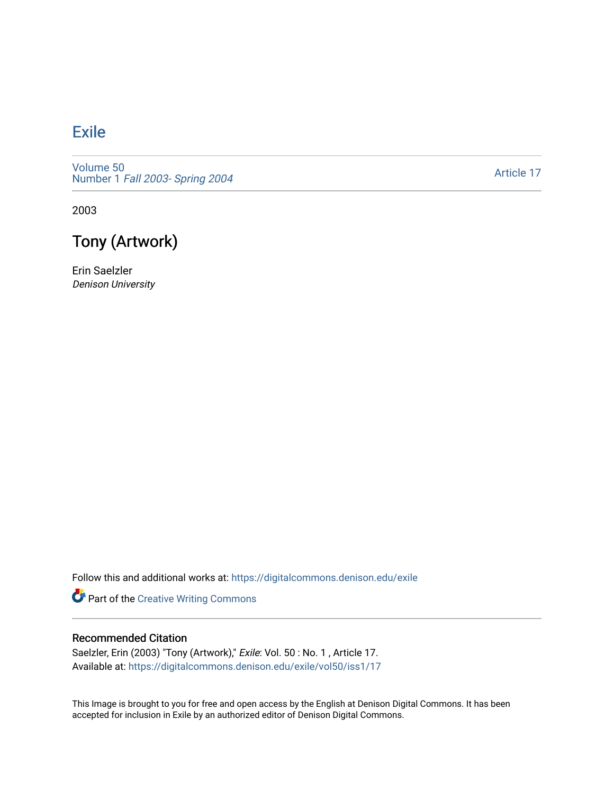## [Exile](https://digitalcommons.denison.edu/exile)

[Volume 50](https://digitalcommons.denison.edu/exile/vol50) Number 1 [Fall 2003- Spring 2004](https://digitalcommons.denison.edu/exile/vol50/iss1) 

[Article 17](https://digitalcommons.denison.edu/exile/vol50/iss1/17) 

2003



Erin Saelzler Denison University

Follow this and additional works at: [https://digitalcommons.denison.edu/exile](https://digitalcommons.denison.edu/exile?utm_source=digitalcommons.denison.edu%2Fexile%2Fvol50%2Fiss1%2F17&utm_medium=PDF&utm_campaign=PDFCoverPages) 

Part of the [Creative Writing Commons](http://network.bepress.com/hgg/discipline/574?utm_source=digitalcommons.denison.edu%2Fexile%2Fvol50%2Fiss1%2F17&utm_medium=PDF&utm_campaign=PDFCoverPages) 

## Recommended Citation

Saelzler, Erin (2003) "Tony (Artwork)," Exile: Vol. 50 : No. 1, Article 17. Available at: [https://digitalcommons.denison.edu/exile/vol50/iss1/17](https://digitalcommons.denison.edu/exile/vol50/iss1/17?utm_source=digitalcommons.denison.edu%2Fexile%2Fvol50%2Fiss1%2F17&utm_medium=PDF&utm_campaign=PDFCoverPages)

This Image is brought to you for free and open access by the English at Denison Digital Commons. It has been accepted for inclusion in Exile by an authorized editor of Denison Digital Commons.